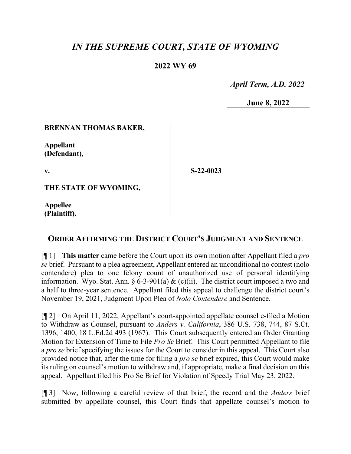# *IN THE SUPREME COURT, STATE OF WYOMING*

## **2022 WY 69**

 *April Term, A.D. 2022*

**June 8, 2022**

### **BRENNAN THOMAS BAKER,**

**Appellant (Defendant),**

**v.**

**S-22-0023**

**THE STATE OF WYOMING,**

**Appellee (Plaintiff).**

## **ORDER AFFIRMING THE DISTRICT COURT'S JUDGMENT AND SENTENCE**

[¶ 1] **This matter** came before the Court upon its own motion after Appellant filed a *pro se* brief. Pursuant to a plea agreement, Appellant entered an unconditional no contest (nolo contendere) plea to one felony count of unauthorized use of personal identifying information. Wyo. Stat. Ann.  $\frac{6-3-901(a) \& (c)(ii)}{2}$ . The district court imposed a two and a half to three-year sentence. Appellant filed this appeal to challenge the district court's November 19, 2021, Judgment Upon Plea of *Nolo Contendere* and Sentence.

[¶ 2] On April 11, 2022, Appellant's court-appointed appellate counsel e-filed a Motion to Withdraw as Counsel, pursuant to *Anders v. California*, 386 U.S. 738, 744, 87 S.Ct. 1396, 1400, 18 L.Ed.2d 493 (1967). This Court subsequently entered an Order Granting Motion for Extension of Time to File *Pro Se* Brief. This Court permitted Appellant to file a *pro se* brief specifying the issues for the Court to consider in this appeal. This Court also provided notice that, after the time for filing a *pro se* brief expired, this Court would make its ruling on counsel's motion to withdraw and, if appropriate, make a final decision on this appeal. Appellant filed his Pro Se Brief for Violation of Speedy Trial May 23, 2022.

[¶ 3] Now, following a careful review of that brief, the record and the *Anders* brief submitted by appellate counsel, this Court finds that appellate counsel's motion to